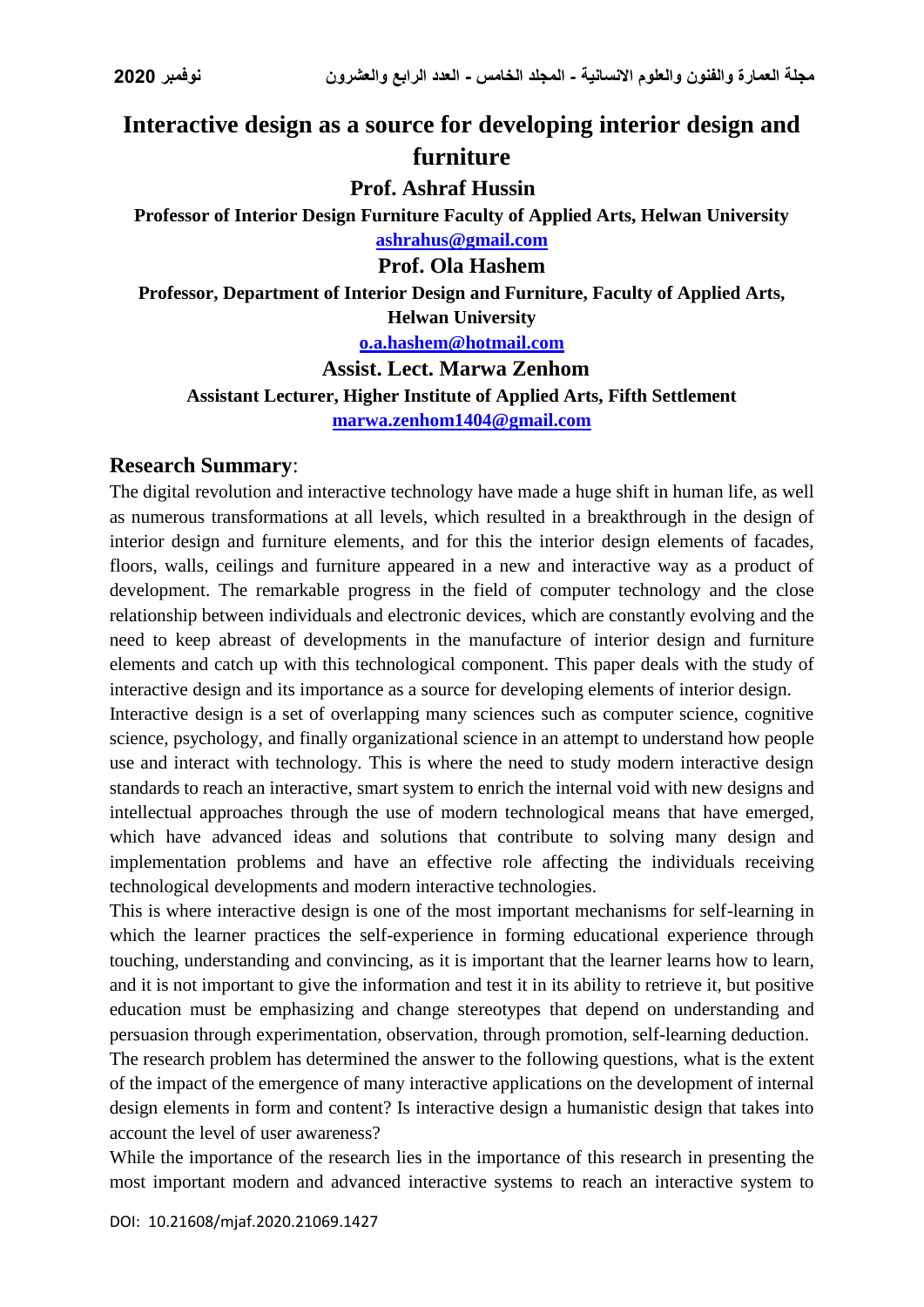# **Interactive design as a source for developing interior design and furniture**

**Prof. Ashraf Hussin**

**Professor of Interior Design Furniture Faculty of Applied Arts, Helwan University [ashrahus@gmail.com](mailto:ashrahus@gmail.com)**

## **Prof. Ola Hashem**

**Professor, Department of Interior Design and Furniture, Faculty of Applied Arts, Helwan University**

**[o.a.hashem@hotmail.com](mailto:o.a.hashem@hotmail.com)**

**Assist. Lect. Marwa Zenhom Assistant Lecturer, Higher Institute of Applied Arts, Fifth Settlement [marwa.zenhom1404@gmail.com](mailto:marwa.zenhom1404@gmail.com)**

### **Research Summary**:

The digital revolution and interactive technology have made a huge shift in human life, as well as numerous transformations at all levels, which resulted in a breakthrough in the design of interior design and furniture elements, and for this the interior design elements of facades, floors, walls, ceilings and furniture appeared in a new and interactive way as a product of development. The remarkable progress in the field of computer technology and the close relationship between individuals and electronic devices, which are constantly evolving and the need to keep abreast of developments in the manufacture of interior design and furniture elements and catch up with this technological component. This paper deals with the study of interactive design and its importance as a source for developing elements of interior design.

Interactive design is a set of overlapping many sciences such as computer science, cognitive science, psychology, and finally organizational science in an attempt to understand how people use and interact with technology. This is where the need to study modern interactive design standards to reach an interactive, smart system to enrich the internal void with new designs and intellectual approaches through the use of modern technological means that have emerged, which have advanced ideas and solutions that contribute to solving many design and implementation problems and have an effective role affecting the individuals receiving technological developments and modern interactive technologies.

This is where interactive design is one of the most important mechanisms for self-learning in which the learner practices the self-experience in forming educational experience through touching, understanding and convincing, as it is important that the learner learns how to learn, and it is not important to give the information and test it in its ability to retrieve it, but positive education must be emphasizing and change stereotypes that depend on understanding and persuasion through experimentation, observation, through promotion, self-learning deduction.

The research problem has determined the answer to the following questions, what is the extent of the impact of the emergence of many interactive applications on the development of internal design elements in form and content? Is interactive design a humanistic design that takes into account the level of user awareness?

While the importance of the research lies in the importance of this research in presenting the most important modern and advanced interactive systems to reach an interactive system to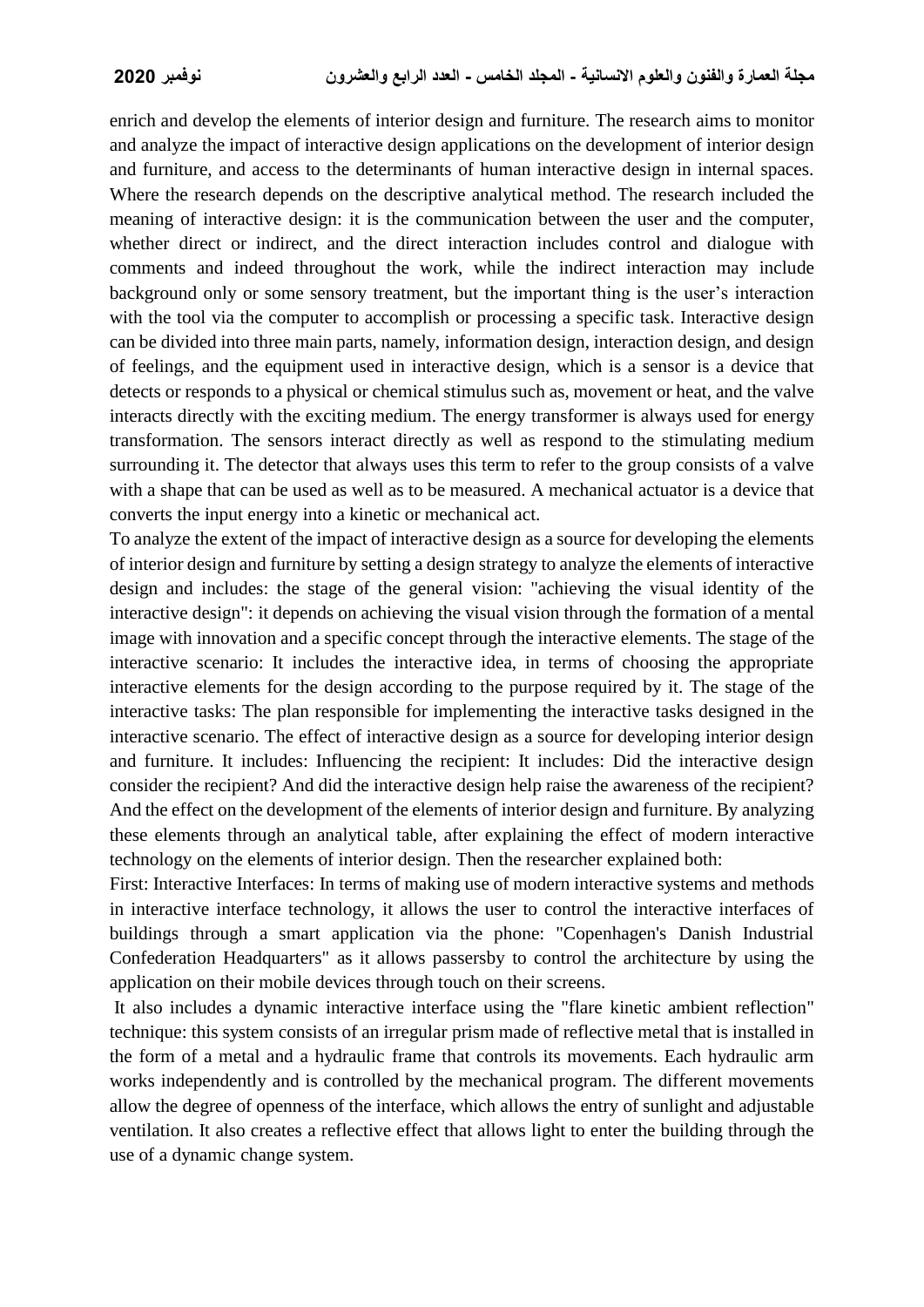enrich and develop the elements of interior design and furniture. The research aims to monitor and analyze the impact of interactive design applications on the development of interior design and furniture, and access to the determinants of human interactive design in internal spaces. Where the research depends on the descriptive analytical method. The research included the meaning of interactive design: it is the communication between the user and the computer, whether direct or indirect, and the direct interaction includes control and dialogue with comments and indeed throughout the work, while the indirect interaction may include background only or some sensory treatment, but the important thing is the user's interaction with the tool via the computer to accomplish or processing a specific task. Interactive design can be divided into three main parts, namely, information design, interaction design, and design of feelings, and the equipment used in interactive design, which is a sensor is a device that detects or responds to a physical or chemical stimulus such as, movement or heat, and the valve interacts directly with the exciting medium. The energy transformer is always used for energy transformation. The sensors interact directly as well as respond to the stimulating medium surrounding it. The detector that always uses this term to refer to the group consists of a valve with a shape that can be used as well as to be measured. A mechanical actuator is a device that converts the input energy into a kinetic or mechanical act.

To analyze the extent of the impact of interactive design as a source for developing the elements of interior design and furniture by setting a design strategy to analyze the elements of interactive design and includes: the stage of the general vision: "achieving the visual identity of the interactive design": it depends on achieving the visual vision through the formation of a mental image with innovation and a specific concept through the interactive elements. The stage of the interactive scenario: It includes the interactive idea, in terms of choosing the appropriate interactive elements for the design according to the purpose required by it. The stage of the interactive tasks: The plan responsible for implementing the interactive tasks designed in the interactive scenario. The effect of interactive design as a source for developing interior design and furniture. It includes: Influencing the recipient: It includes: Did the interactive design consider the recipient? And did the interactive design help raise the awareness of the recipient? And the effect on the development of the elements of interior design and furniture. By analyzing these elements through an analytical table, after explaining the effect of modern interactive technology on the elements of interior design. Then the researcher explained both:

First: Interactive Interfaces: In terms of making use of modern interactive systems and methods in interactive interface technology, it allows the user to control the interactive interfaces of buildings through a smart application via the phone: "Copenhagen's Danish Industrial Confederation Headquarters" as it allows passersby to control the architecture by using the application on their mobile devices through touch on their screens.

It also includes a dynamic interactive interface using the "flare kinetic ambient reflection" technique: this system consists of an irregular prism made of reflective metal that is installed in the form of a metal and a hydraulic frame that controls its movements. Each hydraulic arm works independently and is controlled by the mechanical program. The different movements allow the degree of openness of the interface, which allows the entry of sunlight and adjustable ventilation. It also creates a reflective effect that allows light to enter the building through the use of a dynamic change system.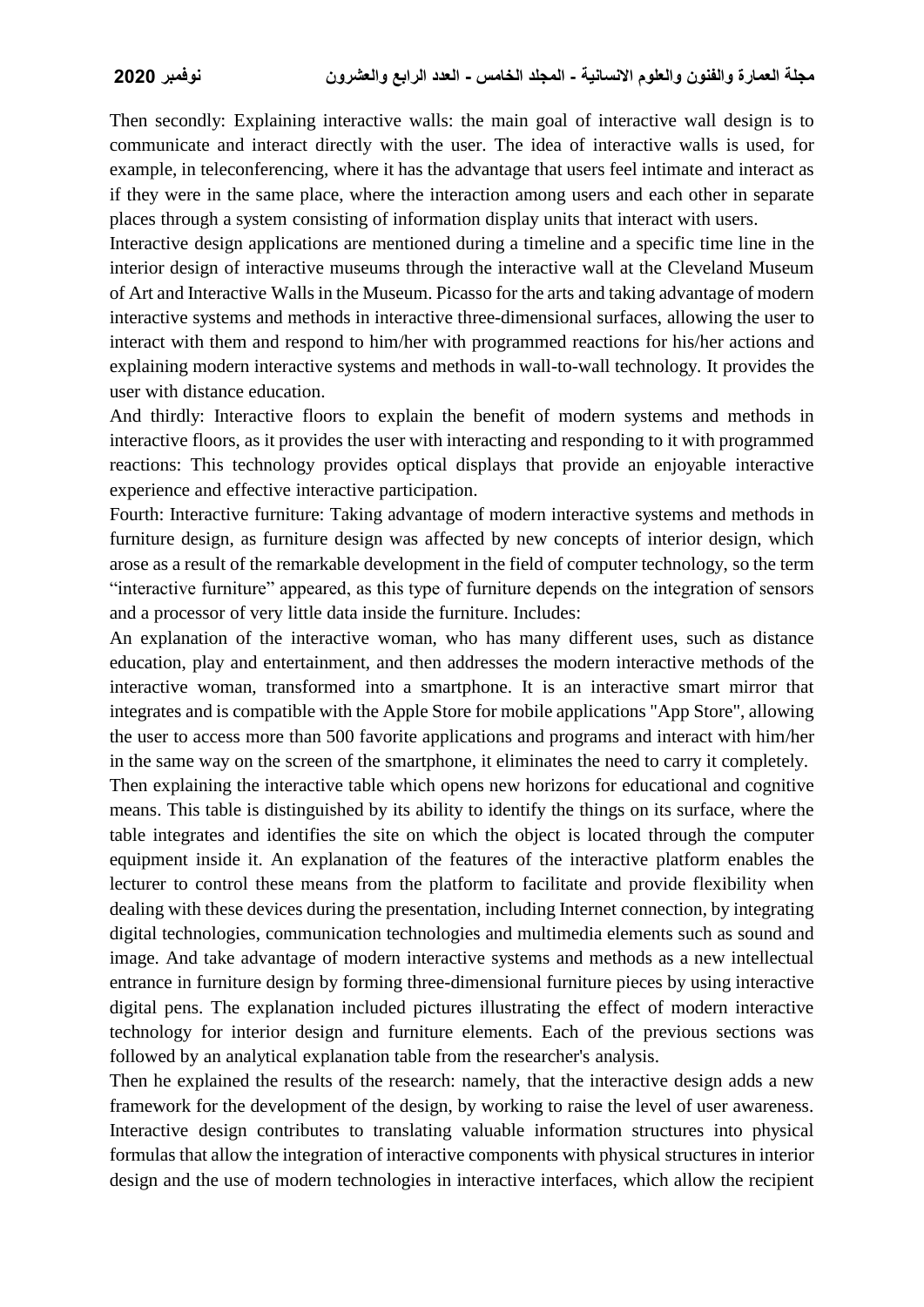Then secondly: Explaining interactive walls: the main goal of interactive wall design is to communicate and interact directly with the user. The idea of interactive walls is used, for example, in teleconferencing, where it has the advantage that users feel intimate and interact as if they were in the same place, where the interaction among users and each other in separate places through a system consisting of information display units that interact with users.

Interactive design applications are mentioned during a timeline and a specific time line in the interior design of interactive museums through the interactive wall at the Cleveland Museum of Art and Interactive Walls in the Museum. Picasso for the arts and taking advantage of modern interactive systems and methods in interactive three-dimensional surfaces, allowing the user to interact with them and respond to him/her with programmed reactions for his/her actions and explaining modern interactive systems and methods in wall-to-wall technology. It provides the user with distance education.

And thirdly: Interactive floors to explain the benefit of modern systems and methods in interactive floors, as it provides the user with interacting and responding to it with programmed reactions: This technology provides optical displays that provide an enjoyable interactive experience and effective interactive participation.

Fourth: Interactive furniture: Taking advantage of modern interactive systems and methods in furniture design, as furniture design was affected by new concepts of interior design, which arose as a result of the remarkable development in the field of computer technology, so the term "interactive furniture" appeared, as this type of furniture depends on the integration of sensors and a processor of very little data inside the furniture. Includes:

An explanation of the interactive woman, who has many different uses, such as distance education, play and entertainment, and then addresses the modern interactive methods of the interactive woman, transformed into a smartphone. It is an interactive smart mirror that integrates and is compatible with the Apple Store for mobile applications "App Store", allowing the user to access more than 500 favorite applications and programs and interact with him/her in the same way on the screen of the smartphone, it eliminates the need to carry it completely.

Then explaining the interactive table which opens new horizons for educational and cognitive means. This table is distinguished by its ability to identify the things on its surface, where the table integrates and identifies the site on which the object is located through the computer equipment inside it. An explanation of the features of the interactive platform enables the lecturer to control these means from the platform to facilitate and provide flexibility when dealing with these devices during the presentation, including Internet connection, by integrating digital technologies, communication technologies and multimedia elements such as sound and image. And take advantage of modern interactive systems and methods as a new intellectual entrance in furniture design by forming three-dimensional furniture pieces by using interactive digital pens. The explanation included pictures illustrating the effect of modern interactive technology for interior design and furniture elements. Each of the previous sections was followed by an analytical explanation table from the researcher's analysis.

Then he explained the results of the research: namely, that the interactive design adds a new framework for the development of the design, by working to raise the level of user awareness. Interactive design contributes to translating valuable information structures into physical formulas that allow the integration of interactive components with physical structures in interior design and the use of modern technologies in interactive interfaces, which allow the recipient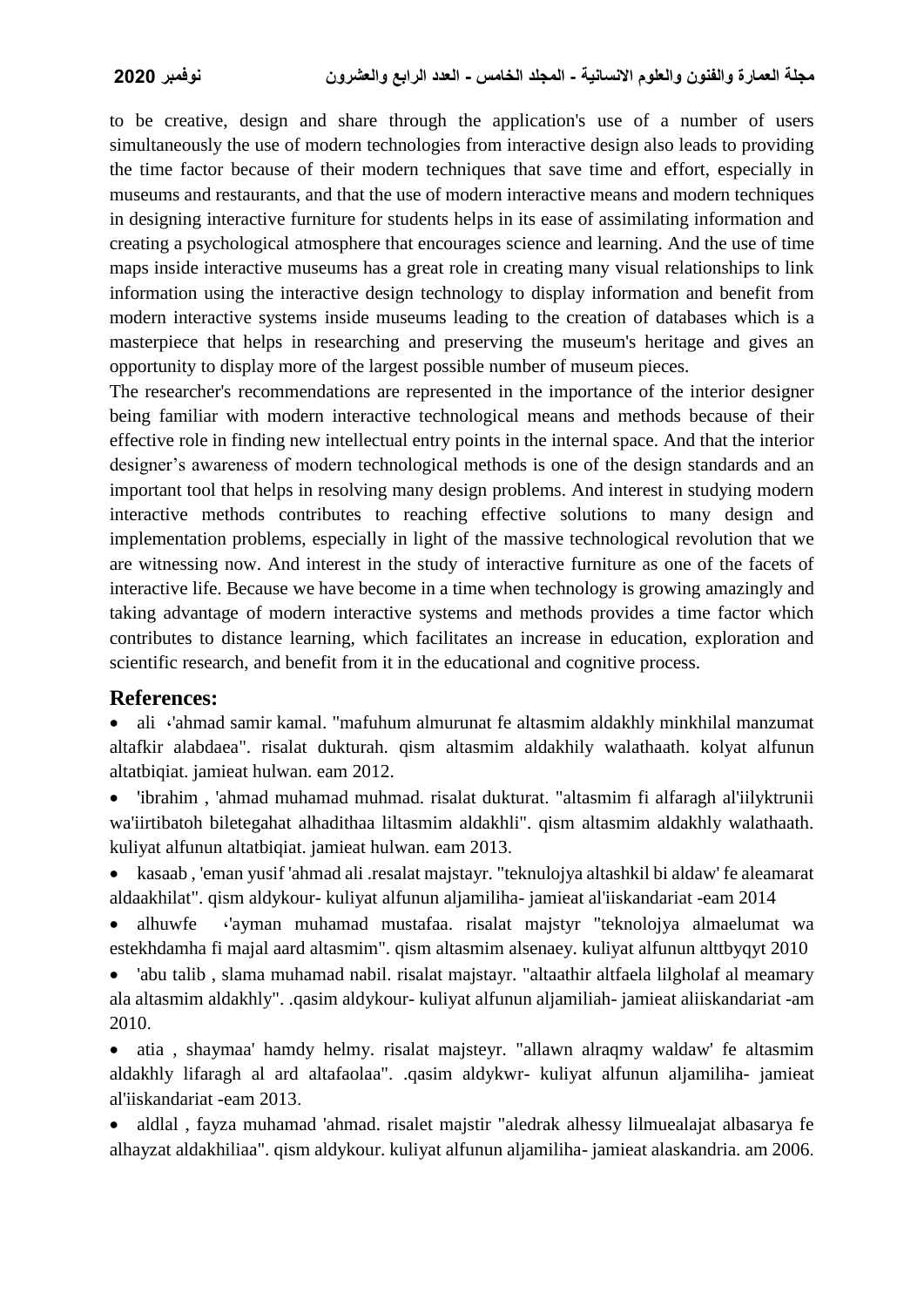to be creative, design and share through the application's use of a number of users simultaneously the use of modern technologies from interactive design also leads to providing the time factor because of their modern techniques that save time and effort, especially in museums and restaurants, and that the use of modern interactive means and modern techniques in designing interactive furniture for students helps in its ease of assimilating information and creating a psychological atmosphere that encourages science and learning. And the use of time maps inside interactive museums has a great role in creating many visual relationships to link information using the interactive design technology to display information and benefit from modern interactive systems inside museums leading to the creation of databases which is a masterpiece that helps in researching and preserving the museum's heritage and gives an opportunity to display more of the largest possible number of museum pieces.

The researcher's recommendations are represented in the importance of the interior designer being familiar with modern interactive technological means and methods because of their effective role in finding new intellectual entry points in the internal space. And that the interior designer's awareness of modern technological methods is one of the design standards and an important tool that helps in resolving many design problems. And interest in studying modern interactive methods contributes to reaching effective solutions to many design and implementation problems, especially in light of the massive technological revolution that we are witnessing now. And interest in the study of interactive furniture as one of the facets of interactive life. Because we have become in a time when technology is growing amazingly and taking advantage of modern interactive systems and methods provides a time factor which contributes to distance learning, which facilitates an increase in education, exploration and scientific research, and benefit from it in the educational and cognitive process.

### **References:**

• ali ·'ahmad samir kamal. "mafuhum almurunat fe altasmim aldakhly minkhilal manzumat altafkir alabdaea". risalat dukturah. qism altasmim aldakhily walathaath. kolyat alfunun altatbiqiat. jamieat hulwan. eam 2012.

 'ibrahim , 'ahmad muhamad muhmad. risalat dukturat. "altasmim fi alfaragh al'iilyktrunii wa'iirtibatoh biletegahat alhadithaa liltasmim aldakhli". qism altasmim aldakhly walathaath. kuliyat alfunun altatbiqiat. jamieat hulwan. eam 2013.

 kasaab , 'eman yusif 'ahmad ali .resalat majstayr. "teknulojya altashkil bi aldaw' fe aleamarat aldaakhilat". qism aldykour- kuliyat alfunun aljamiliha- jamieat al'iiskandariat -eam 2014

• alhuwfe · 'ayman muhamad mustafaa. risalat majstyr "teknolojya almaelumat wa estekhdamha fi majal aard altasmim". qism altasmim alsenaey. kuliyat alfunun alttbyqyt 2010

 'abu talib , slama muhamad nabil. risalat majstayr. "altaathir altfaela lilgholaf al meamary ala altasmim aldakhly". .qasim aldykour- kuliyat alfunun aljamiliah- jamieat aliiskandariat -am 2010.

 atia , shaymaa' hamdy helmy. risalat majsteyr. "allawn alraqmy waldaw' fe altasmim aldakhly lifaragh al ard altafaolaa". .qasim aldykwr- kuliyat alfunun aljamiliha- jamieat al'iiskandariat -eam 2013.

• aldlal, fayza muhamad 'ahmad. risalet majstir "aledrak alhessy lilmuealajat albasarya fe alhayzat aldakhiliaa". qism aldykour. kuliyat alfunun aljamiliha- jamieat alaskandria. am 2006.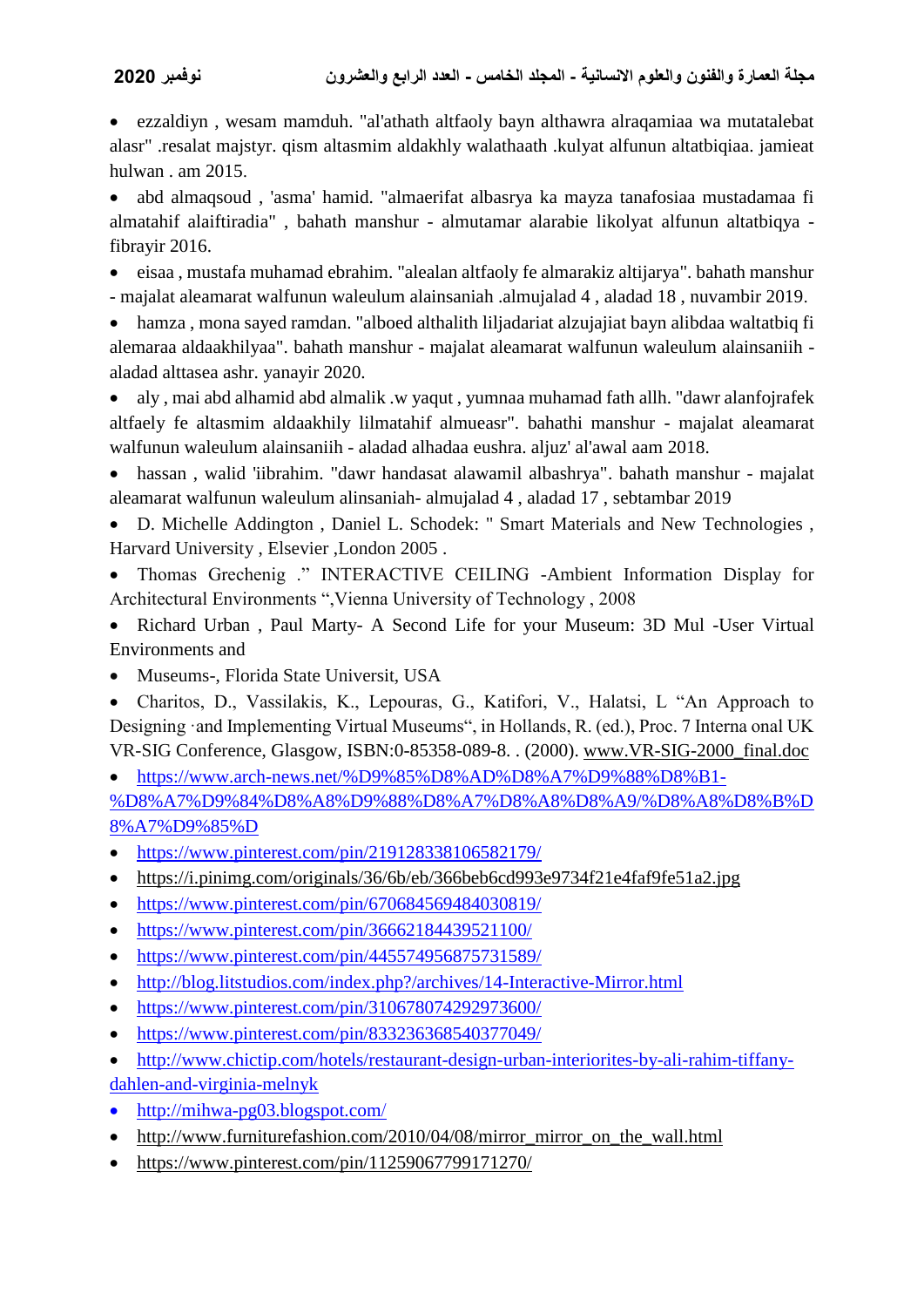ezzaldiyn , wesam mamduh. "al'athath altfaoly bayn althawra alraqamiaa wa mutatalebat alasr" .resalat majstyr. qism altasmim aldakhly walathaath .kulyat alfunun altatbiqiaa. jamieat hulwan . am 2015.

 abd almaqsoud , 'asma' hamid. "almaerifat albasrya ka mayza tanafosiaa mustadamaa fi almatahif alaiftiradia" , bahath manshur - almutamar alarabie likolyat alfunun altatbiqya fibrayir 2016.

 eisaa , mustafa muhamad ebrahim. "alealan altfaoly fe almarakiz altijarya". bahath manshur - majalat aleamarat walfunun waleulum alainsaniah .almujalad 4 , aladad 18 , nuvambir 2019.

 hamza , mona sayed ramdan. "alboed althalith liljadariat alzujajiat bayn alibdaa waltatbiq fi alemaraa aldaakhilyaa". bahath manshur - majalat aleamarat walfunun waleulum alainsaniih aladad alttasea ashr. yanayir 2020.

 aly , mai abd alhamid abd almalik .w yaqut , yumnaa muhamad fath allh. "dawr alanfojrafek altfaely fe altasmim aldaakhily lilmatahif almueasr". bahathi manshur - majalat aleamarat walfunun waleulum alainsaniih - aladad alhadaa eushra. aljuz' al'awal aam 2018.

 hassan , walid 'iibrahim. "dawr handasat alawamil albashrya". bahath manshur - majalat aleamarat walfunun waleulum alinsaniah- almujalad 4 , aladad 17 , sebtambar 2019

 D. Michelle Addington , Daniel L. Schodek: " Smart Materials and New Technologies , Harvard University , Elsevier ,London 2005 .

 Thomas Grechenig ." INTERACTIVE CEILING -Ambient Information Display for Architectural Environments ",Vienna University of Technology , 2008

 Richard Urban , Paul Marty- A Second Life for your Museum: 3D Mul -User Virtual Environments and

• Museums-, Florida State Universit, USA

 Charitos, D., Vassilakis, K., Lepouras, G., Katifori, V., Halatsi, L "An Approach to Designing ·and Implementing Virtual Museums", in Hollands, R. (ed.), Proc. 7 Interna onal UK VR-SIG Conference, Glasgow, ISBN:0-85358-089-8. . (2000). [www.VR-SIG-2000\\_final.doc](http://www.vr-sig-2000_final.doc/)

 $\bullet$  [https://www.arch-news.net/%D9%85%D8%AD%D8%A7%D9%88%D8%B1-](https://www.arch-news.net/%D9%85%D8%AD%D8%A7%D9%88%D8%B1-%D8%A7%D9%84%D8%A8%D9%88%D8%A7%D8%A8%D8%A9/%D8%A8%D8%B1%D8%A7%D9%85%D8%AC-%D9%87%D9%86%D8%AF%D8%B3%D9%8A%D8%A9/1196-%D8%A7%D9%84%D8%AA%D8%AD%D9%83%D9%85-%D8%A8%D8%A7%D9%84%D9%88%D8%A7%D8%AC%D9%87%D8%A7%D8%AA-%D8%A7%D9%84%D8%AA%D9%81%D8%A7%D8%B9%D9%84%D9%8A%D8%A9-%D9%84%D9%84%D9%85%D8%A8%D8%A7%D9%86%D9%8A-%D8%B9%D9%86-%D8%B7%D8%B1%D9%8A%D9%82-%D8%AA%D8%B7%D8%A8%D9%8A%D9%82%D9%8D-%D8%B0%D9%83%D9%8A-%D8%A8%D8%AF%D8%A7%D9%8A%D8%A9-%D9%85%D9%86-%D9%83%D9%88%D8%A8%D9%86%D9%87%D8%A7%D8%BA%D9%86-%D9%88%D9%85%D8%B3%D8%AA%D9%82%D8%A8%D9%84%D9%8C-%D9%85%D9%81%D8%AA%D9%88%D8%AD) [%D8%A7%D9%84%D8%A8%D9%88%D8%A7%D8%A8%D8%A9/%D8%A8%D8%B%D](https://www.arch-news.net/%D9%85%D8%AD%D8%A7%D9%88%D8%B1-%D8%A7%D9%84%D8%A8%D9%88%D8%A7%D8%A8%D8%A9/%D8%A8%D8%B1%D8%A7%D9%85%D8%AC-%D9%87%D9%86%D8%AF%D8%B3%D9%8A%D8%A9/1196-%D8%A7%D9%84%D8%AA%D8%AD%D9%83%D9%85-%D8%A8%D8%A7%D9%84%D9%88%D8%A7%D8%AC%D9%87%D8%A7%D8%AA-%D8%A7%D9%84%D8%AA%D9%81%D8%A7%D8%B9%D9%84%D9%8A%D8%A9-%D9%84%D9%84%D9%85%D8%A8%D8%A7%D9%86%D9%8A-%D8%B9%D9%86-%D8%B7%D8%B1%D9%8A%D9%82-%D8%AA%D8%B7%D8%A8%D9%8A%D9%82%D9%8D-%D8%B0%D9%83%D9%8A-%D8%A8%D8%AF%D8%A7%D9%8A%D8%A9-%D9%85%D9%86-%D9%83%D9%88%D8%A8%D9%86%D9%87%D8%A7%D8%BA%D9%86-%D9%88%D9%85%D8%B3%D8%AA%D9%82%D8%A8%D9%84%D9%8C-%D9%85%D9%81%D8%AA%D9%88%D8%AD) [8%A7%D9%85%D](https://www.arch-news.net/%D9%85%D8%AD%D8%A7%D9%88%D8%B1-%D8%A7%D9%84%D8%A8%D9%88%D8%A7%D8%A8%D8%A9/%D8%A8%D8%B1%D8%A7%D9%85%D8%AC-%D9%87%D9%86%D8%AF%D8%B3%D9%8A%D8%A9/1196-%D8%A7%D9%84%D8%AA%D8%AD%D9%83%D9%85-%D8%A8%D8%A7%D9%84%D9%88%D8%A7%D8%AC%D9%87%D8%A7%D8%AA-%D8%A7%D9%84%D8%AA%D9%81%D8%A7%D8%B9%D9%84%D9%8A%D8%A9-%D9%84%D9%84%D9%85%D8%A8%D8%A7%D9%86%D9%8A-%D8%B9%D9%86-%D8%B7%D8%B1%D9%8A%D9%82-%D8%AA%D8%B7%D8%A8%D9%8A%D9%82%D9%8D-%D8%B0%D9%83%D9%8A-%D8%A8%D8%AF%D8%A7%D9%8A%D8%A9-%D9%85%D9%86-%D9%83%D9%88%D8%A8%D9%86%D9%87%D8%A7%D8%BA%D9%86-%D9%88%D9%85%D8%B3%D8%AA%D9%82%D8%A8%D9%84%D9%8C-%D9%85%D9%81%D8%AA%D9%88%D8%AD)

• <https://www.pinterest.com/pin/219128338106582179/>

- https://i.pinimg.com/originals/36/6b/eb/366beb6cd993e9734f21e4faf9fe51a2.jpg
- <https://www.pinterest.com/pin/670684569484030819/>
- $\bullet$  <https://www.pinterest.com/pin/36662184439521100/>
- <https://www.pinterest.com/pin/445574956875731589/>
- <http://blog.litstudios.com/index.php?/archives/14-Interactive-Mirror.html>
- $\bullet$  <https://www.pinterest.com/pin/310678074292973600/>
- <https://www.pinterest.com/pin/833236368540377049/>
- [http://www.chictip.com/hotels/restaurant-design-urban-interiorites-by-ali-rahim-tiffany-](http://www.chictip.com/hotels/restaurant-design-urban-interiorites-by-ali-rahim-tiffany-dahlen-and-virginia-melnyk)
- [dahlen-and-virginia-melnyk](http://www.chictip.com/hotels/restaurant-design-urban-interiorites-by-ali-rahim-tiffany-dahlen-and-virginia-melnyk)
- <http://mihwa-pg03.blogspot.com/>
- [http://www.furniturefashion.com/2010/04/08/mirror\\_mirror\\_on\\_the\\_wall.html](http://www.furniturefashion.com/2010/04/08/mirror_mirror_on_the_wall.html)
- $\bullet$  <https://www.pinterest.com/pin/11259067799171270/>